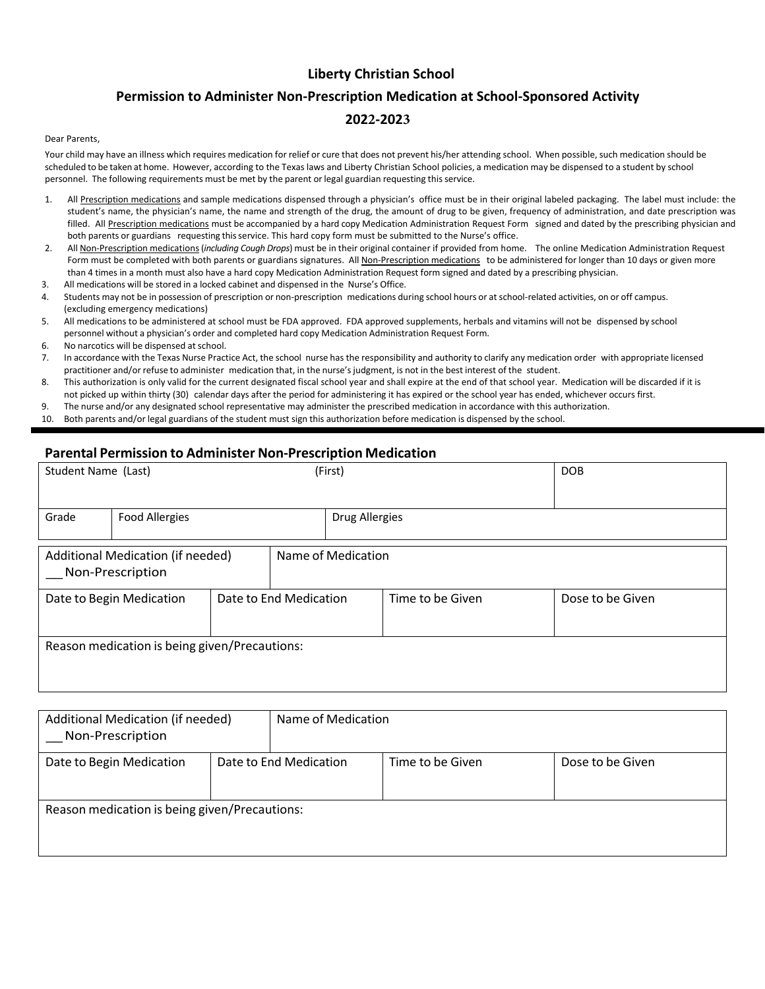## **Liberty Christian School**

## **Permission to Administer Non‐Prescription Medication at School‐Sponsored Activity 2022‐2023**

## Dear Parents,

Your child may have an illness which requires medication for relief or cure that does not prevent his/her attending school. When possible, such medication should be scheduled to be taken at home. However, according to the Texas laws and Liberty Christian School policies, a medication may be dispensed to a student by school personnel. The following requirements must be met by the parent or legal guardian requesting this service.

- 1. All Prescription medications and sample medications dispensed through a physician's office must be in their original labeled packaging. The label must include: the student's name, the physician's name, the name and strength of the drug, the amount of drug to be given, frequency of administration, and date prescription was filled. All Prescription medications must be accompanied by a hard copy Medication Administration Request Form signed and dated by the prescribing physician and both parents or guardians requesting thisservice. This hard copy form must be submitted to the Nurse's office.
- 2. All Non‐Prescription medications (*including Cough Drops*) must be in their original container if provided from home. The online Medication Administration Request Form must be completed with both parents or guardians signatures. All Non-Prescription medications to be administered for longer than 10 days or given more than 4 times in a month must also have a hard copy Medication Administration Request form signed and dated by a prescribing physician.
- 3. All medications will be stored in a locked cabinet and dispensed in the Nurse's Office.
- 4. Students may not be in possession of prescription or non-prescription medications during school hours or at school-related activities, on or off campus. (excluding emergency medications)
- 5. All medications to be administered at school must be FDA approved. FDA approved supplements, herbals and vitamins will not be dispensed by school personnel without a physician's order and completed hard copy Medication Administration Request Form.
- 6. No narcotics will be dispensed at school.
- 7. In accordance with the Texas Nurse Practice Act, the school nurse has the responsibility and authority to clarify any medication order with appropriate licensed practitioner and/or refuse to administer medication that, in the nurse's judgment, is not in the best interest of the student.
- 8. This authorization is only valid for the current designated fiscal school year and shall expire at the end of that school year. Medication will be discarded if it is not picked up within thirty (30) calendar days after the period for administering it has expired or the school year has ended, whichever occurs first.
- 9. The nurse and/or any designated school representative may administer the prescribed medication in accordance with this authorization.
- 10. Both parents and/or legal guardians of the student must sign this authorization before medication is dispensed by the school.

## **Parental Permission to Administer Non‐Prescription Medication**

| Student Name (Last)                                   |                       | (First) |                        |                       |                  | <b>DOB</b> |                  |  |  |
|-------------------------------------------------------|-----------------------|---------|------------------------|-----------------------|------------------|------------|------------------|--|--|
| Grade                                                 | <b>Food Allergies</b> |         |                        | <b>Drug Allergies</b> |                  |            |                  |  |  |
| Additional Medication (if needed)<br>Non-Prescription |                       |         | Name of Medication     |                       |                  |            |                  |  |  |
| Date to Begin Medication                              |                       |         | Date to End Medication |                       | Time to be Given |            | Dose to be Given |  |  |
| Reason medication is being given/Precautions:         |                       |         |                        |                       |                  |            |                  |  |  |

| Additional Medication (if needed)<br>Non-Prescription |  | Name of Medication                         |  |                  |  |  |  |  |
|-------------------------------------------------------|--|--------------------------------------------|--|------------------|--|--|--|--|
| Date to Begin Medication                              |  | Date to End Medication<br>Time to be Given |  | Dose to be Given |  |  |  |  |
| Reason medication is being given/Precautions:         |  |                                            |  |                  |  |  |  |  |